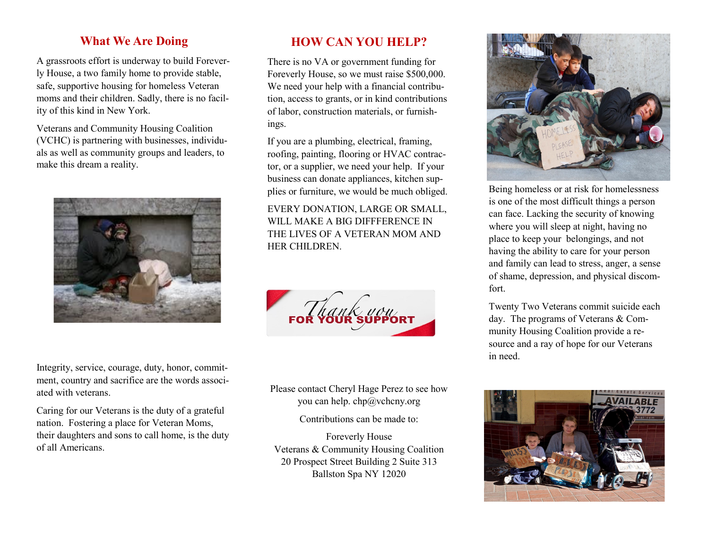## **What We Are Doing**

A grassroots effort is underway to build Foreverly House, a two family home to provide stable, safe, supportive housing for homeless Veteran moms and their children. Sadly, there is no facility of this kind in New York.

Veterans and Community Housing Coalition (VCHC) is partnering with businesses, individuals as well as community groups and leaders, to make this dream a reality.



**HOW CAN YOU HELP?**

There is no VA or government funding for Foreverly House, so we must raise \$500,000. We need your help with a financial contribution, access to grants, or in kind contributions of labor, construction materials, or furnishings.

If you are a plumbing, electrical, framing, roofing, painting, flooring or HVAC contractor, or a supplier, we need your help. If your business can donate appliances, kitchen supplies or furniture, we would be much obliged.

EVERY DONATION, LARGE OR SMALL, WILL MAKE A BIG DIFFFERENCE IN THE LIVES OF A VETERAN MOM AND HER CHILDREN.

Integrity, service, courage, duty, honor, commitment, country and sacrifice are the words associated with veterans.

Caring for our Veterans is the duty of a grateful nation. Fostering a place for Veteran Moms, their daughters and sons to call home, is the duty of all Americans.

Please contact Cheryl Hage Perez to see how you can help. chp@vchcny.org

Contributions can be made to:

Foreverly House Veterans & Community Housing Coalition 20 Prospect Street Building 2 Suite 313 Ballston Spa NY 12020



Being homeless or at risk for homelessness is one of the most difficult things a person can face. Lacking the security of knowing where you will sleep at night, having no place to keep your belongings, and not having the ability to care for your person and family can lead to stress, anger, a sense of shame, depression, and physical discomfort.

Twenty Two Veterans commit suicide each day. The programs of Veterans & Community Housing Coalition provide a resource and a ray of hope for our Veterans in need.